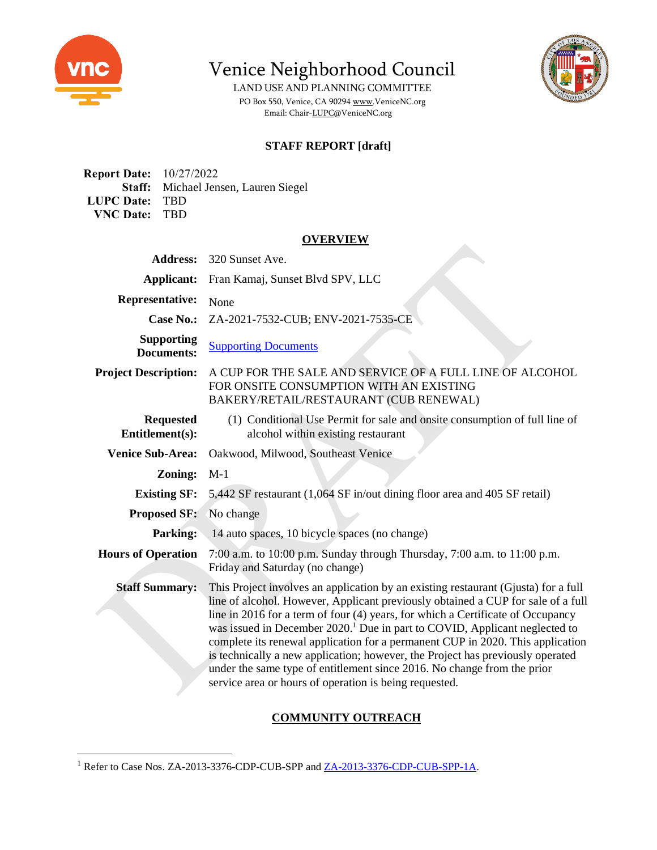

Venice Neighborhood Council

LAND USE AND PLANNING COMMITTEE PO Box 550, Venice, CA 9029[4 www.VeniceNC.org](http://www.venicenc.org/) Email: Chair[-LUPC@VeniceNC.org](mailto:LUPC@VeniceNC.org)



# **STAFF REPORT [draft]**

**Report Date:** 10/27/2022 **Staff:** Michael Jensen, Lauren Siegel **LUPC Date:** TBD **VNC Date:** TBD

#### **OVERVIEW**

| <b>Address:</b>                        | 320 Sunset Ave.                                                                                                                                                                                                                                                                                                                                                                                                                                                                                                                                                                                                                                              |
|----------------------------------------|--------------------------------------------------------------------------------------------------------------------------------------------------------------------------------------------------------------------------------------------------------------------------------------------------------------------------------------------------------------------------------------------------------------------------------------------------------------------------------------------------------------------------------------------------------------------------------------------------------------------------------------------------------------|
| <b>Applicant:</b>                      | Fran Kamaj, Sunset Blvd SPV, LLC                                                                                                                                                                                                                                                                                                                                                                                                                                                                                                                                                                                                                             |
| <b>Representative:</b>                 | None                                                                                                                                                                                                                                                                                                                                                                                                                                                                                                                                                                                                                                                         |
| <b>Case No.:</b>                       | ZA-2021-7532-CUB; ENV-2021-7535-CE                                                                                                                                                                                                                                                                                                                                                                                                                                                                                                                                                                                                                           |
| <b>Supporting</b><br><b>Documents:</b> | <b>Supporting Documents</b>                                                                                                                                                                                                                                                                                                                                                                                                                                                                                                                                                                                                                                  |
| <b>Project Description:</b>            | A CUP FOR THE SALE AND SERVICE OF A FULL LINE OF ALCOHOL<br>FOR ONSITE CONSUMPTION WITH AN EXISTING<br>BAKERY/RETAIL/RESTAURANT (CUB RENEWAL)                                                                                                                                                                                                                                                                                                                                                                                                                                                                                                                |
| <b>Requested</b><br>Entitlement(s):    | (1) Conditional Use Permit for sale and onsite consumption of full line of<br>alcohol within existing restaurant                                                                                                                                                                                                                                                                                                                                                                                                                                                                                                                                             |
| <b>Venice Sub-Area:</b>                | Oakwood, Milwood, Southeast Venice                                                                                                                                                                                                                                                                                                                                                                                                                                                                                                                                                                                                                           |
| Zoning:                                | $M-1$                                                                                                                                                                                                                                                                                                                                                                                                                                                                                                                                                                                                                                                        |
| <b>Existing SF:</b>                    | 5,442 SF restaurant (1,064 SF in/out dining floor area and 405 SF retail)                                                                                                                                                                                                                                                                                                                                                                                                                                                                                                                                                                                    |
| <b>Proposed SF:</b>                    | No change                                                                                                                                                                                                                                                                                                                                                                                                                                                                                                                                                                                                                                                    |
| <b>Parking:</b>                        | 14 auto spaces, 10 bicycle spaces (no change)                                                                                                                                                                                                                                                                                                                                                                                                                                                                                                                                                                                                                |
| <b>Hours of Operation</b>              | 7:00 a.m. to 10:00 p.m. Sunday through Thursday, 7:00 a.m. to 11:00 p.m.<br>Friday and Saturday (no change)                                                                                                                                                                                                                                                                                                                                                                                                                                                                                                                                                  |
| <b>Staff Summary:</b>                  | This Project involves an application by an existing restaurant (Gjusta) for a full<br>line of alcohol. However, Applicant previously obtained a CUP for sale of a full<br>line in 2016 for a term of four (4) years, for which a Certificate of Occupancy<br>was issued in December 2020. <sup>1</sup> Due in part to COVID, Applicant neglected to<br>complete its renewal application for a permanent CUP in 2020. This application<br>is technically a new application; however, the Project has previously operated<br>under the same type of entitlement since 2016. No change from the prior<br>service area or hours of operation is being requested. |

## **COMMUNITY OUTREACH**

<sup>&</sup>lt;sup>1</sup> Refer to Case Nos. ZA-2013-3376-CDP-CUB-SPP and <u>ZA-2013-3376-CDP-CUB-SPP-1A</u>.